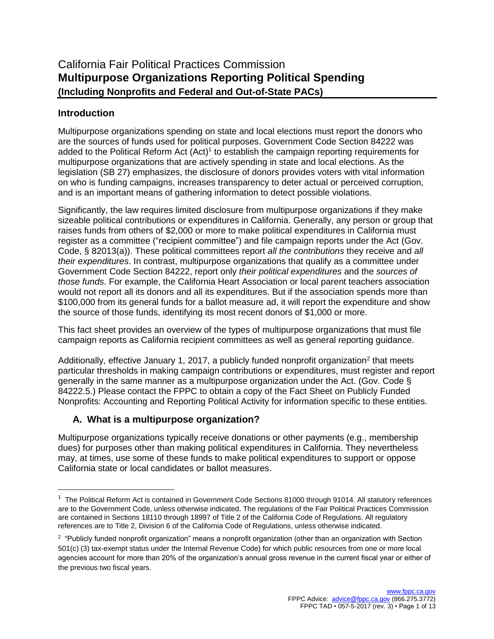# **Introduction**

 $\overline{\phantom{a}}$ 

Multipurpose organizations spending on state and local elections must report the donors who are the sources of funds used for political purposes. Government Code Section 84222 was added to the Political Reform Act  $(Act)^1$  to establish the campaign reporting requirements for multipurpose organizations that are actively spending in state and local elections. As the legislation (SB 27) emphasizes, the disclosure of donors provides voters with vital information on who is funding campaigns, increases transparency to deter actual or perceived corruption, and is an important means of gathering information to detect possible violations.

Significantly, the law requires limited disclosure from multipurpose organizations if they make sizeable political contributions or expenditures in California. Generally, any person or group that raises funds from others of \$2,000 or more to make political expenditures in California must register as a committee ("recipient committee") and file campaign reports under the Act (Gov. Code, § 82013(a)). These political committees report *all the contributions* they receive and *all their expenditures*. In contrast, multipurpose organizations that qualify as a committee under Government Code Section 84222, report only *their political expenditures* and the *sources of those funds*. For example, the California Heart Association or local parent teachers association would not report all its donors and all its expenditures. But if the association spends more than \$100,000 from its general funds for a ballot measure ad, it will report the expenditure and show the source of those funds, identifying its most recent donors of \$1,000 or more.

This fact sheet provides an overview of the types of multipurpose organizations that must file campaign reports as California recipient committees as well as general reporting guidance.

Additionally, effective January 1, 2017, a publicly funded nonprofit organization<sup>2</sup> that meets particular thresholds in making campaign contributions or expenditures, must register and report generally in the same manner as a multipurpose organization under the Act. (Gov. Code § 84222.5.) Please contact the FPPC to obtain a copy of the Fact Sheet on Publicly Funded Nonprofits: Accounting and Reporting Political Activity for information specific to these entities.

# **A. What is a multipurpose organization?**

Multipurpose organizations typically receive donations or other payments (e.g., membership dues) for purposes other than making political expenditures in California. They nevertheless may, at times, use some of these funds to make political expenditures to support or oppose California state or local candidates or ballot measures.

 $1$  The Political Reform Act is contained in Government Code Sections 81000 through 91014. All statutory references are to the Government Code, unless otherwise indicated. The regulations of the Fair Political Practices Commission are contained in Sections 18110 through 18997 of Title 2 of the California Code of Regulations. All regulatory references are to Title 2, Division 6 of the California Code of Regulations, unless otherwise indicated.

<sup>2</sup> "Publicly funded nonprofit organization" means a nonprofit organization (other than an organization with Section 501(c) (3) tax-exempt status under the Internal Revenue Code) for which public resources from one or more local agencies account for more than 20% of the organization's annual gross revenue in the current fiscal year or either of the previous two fiscal years.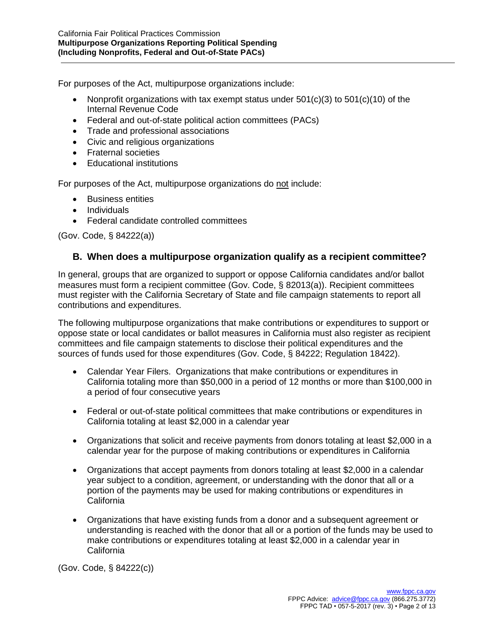For purposes of the Act, multipurpose organizations include:

- Nonprofit organizations with tax exempt status under  $501(c)(3)$  to  $501(c)(10)$  of the Internal Revenue Code
- Federal and out-of-state political action committees (PACs)
- Trade and professional associations
- Civic and religious organizations
- Fraternal societies
- Educational institutions

For purposes of the Act, multipurpose organizations do not include:

- Business entities
- Individuals
- Federal candidate controlled committees

(Gov. Code, § 84222(a))

## **B. When does a multipurpose organization qualify as a recipient committee?**

In general, groups that are organized to support or oppose California candidates and/or ballot measures must form a recipient committee (Gov. Code, § 82013(a)). Recipient committees must register with the California Secretary of State and file campaign statements to report all contributions and expenditures.

The following multipurpose organizations that make contributions or expenditures to support or oppose state or local candidates or ballot measures in California must also register as recipient committees and file campaign statements to disclose their political expenditures and the sources of funds used for those expenditures (Gov. Code, § 84222; Regulation 18422).

- Calendar Year Filers. Organizations that make contributions or expenditures in California totaling more than \$50,000 in a period of 12 months or more than \$100,000 in a period of four consecutive years
- Federal or out-of-state political committees that make contributions or expenditures in California totaling at least \$2,000 in a calendar year
- Organizations that solicit and receive payments from donors totaling at least \$2,000 in a calendar year for the purpose of making contributions or expenditures in California
- Organizations that accept payments from donors totaling at least \$2,000 in a calendar year subject to a condition, agreement, or understanding with the donor that all or a portion of the payments may be used for making contributions or expenditures in California
- Organizations that have existing funds from a donor and a subsequent agreement or understanding is reached with the donor that all or a portion of the funds may be used to make contributions or expenditures totaling at least \$2,000 in a calendar year in **California**

(Gov. Code, § 84222(c))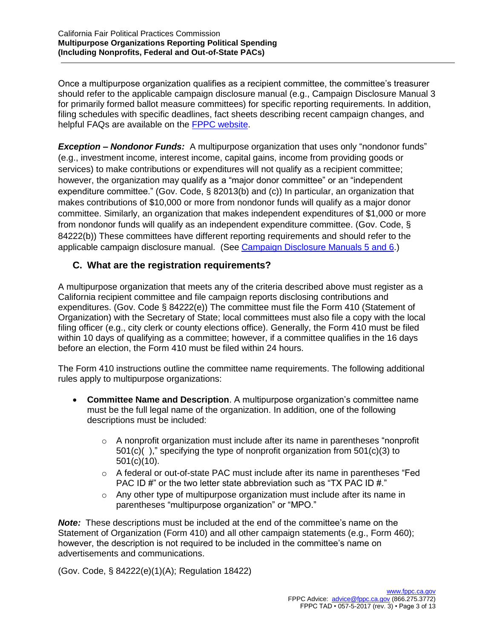Once a multipurpose organization qualifies as a recipient committee, the committee's treasurer should refer to the applicable campaign disclosure manual (e.g., Campaign Disclosure Manual 3 for primarily formed ballot measure committees) for specific reporting requirements. In addition, filing schedules with specific deadlines, fact sheets describing recent campaign changes, and helpful FAQs are available on the [FPPC website.](http://www.fppc.ca.gov/)

*Exception – Nondonor Funds:* A multipurpose organization that uses only "nondonor funds" (e.g., investment income, interest income, capital gains, income from providing goods or services) to make contributions or expenditures will not qualify as a recipient committee; however, the organization may qualify as a "major donor committee" or an "independent expenditure committee." (Gov. Code, § 82013(b) and (c)) In particular, an organization that makes contributions of \$10,000 or more from nondonor funds will qualify as a major donor committee. Similarly, an organization that makes independent expenditures of \$1,000 or more from nondonor funds will qualify as an independent expenditure committee. (Gov. Code, § 84222(b)) These committees have different reporting requirements and should refer to the applicable campaign disclosure manual. (See [Campaign Disclosure Manuals 5 and 6.](http://www.fppc.ca.gov/learn/campaign-rules/campaign-disclosure-manuals.html))

# **C. What are the registration requirements?**

A multipurpose organization that meets any of the criteria described above must register as a California recipient committee and file campaign reports disclosing contributions and expenditures. (Gov. Code § 84222(e)) The committee must file the Form 410 (Statement of Organization) with the Secretary of State; local committees must also file a copy with the local filing officer (e.g., city clerk or county elections office). Generally, the Form 410 must be filed within 10 days of qualifying as a committee; however, if a committee qualifies in the 16 days before an election, the Form 410 must be filed within 24 hours.

The Form 410 instructions outline the committee name requirements. The following additional rules apply to multipurpose organizations:

- **Committee Name and Description**. A multipurpose organization's committee name must be the full legal name of the organization. In addition, one of the following descriptions must be included:
	- $\circ$  A nonprofit organization must include after its name in parentheses "nonprofit 501(c)( )," specifying the type of nonprofit organization from 501(c)(3) to 501(c)(10).
	- $\circ$  A federal or out-of-state PAC must include after its name in parentheses "Fed PAC ID #" or the two letter state abbreviation such as "TX PAC ID #."
	- $\circ$  Any other type of multipurpose organization must include after its name in parentheses "multipurpose organization" or "MPO."

*Note:* These descriptions must be included at the end of the committee's name on the Statement of Organization (Form 410) and all other campaign statements (e.g., Form 460); however, the description is not required to be included in the committee's name on advertisements and communications.

(Gov. Code, § 84222(e)(1)(A); Regulation 18422)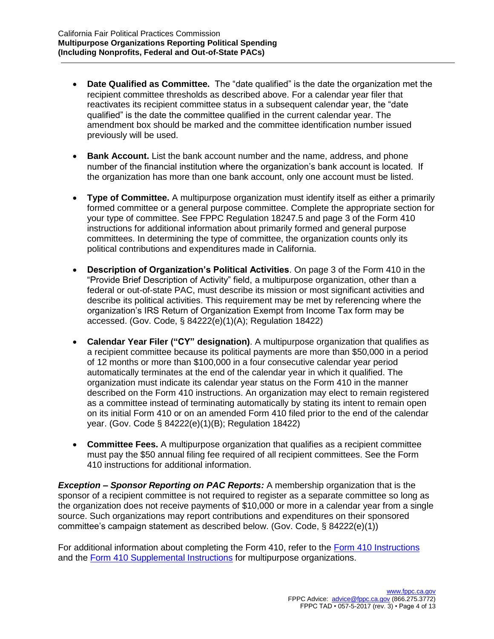- **Date Qualified as Committee.** The "date qualified" is the date the organization met the recipient committee thresholds as described above. For a calendar year filer that reactivates its recipient committee status in a subsequent calendar year, the "date qualified" is the date the committee qualified in the current calendar year. The amendment box should be marked and the committee identification number issued previously will be used.
- **Bank Account.** List the bank account number and the name, address, and phone number of the financial institution where the organization's bank account is located. If the organization has more than one bank account, only one account must be listed.
- **Type of Committee.** A multipurpose organization must identify itself as either a primarily formed committee or a general purpose committee. Complete the appropriate section for your type of committee. See FPPC Regulation 18247.5 and page 3 of the Form 410 instructions for additional information about primarily formed and general purpose committees. In determining the type of committee, the organization counts only its political contributions and expenditures made in California.
- **Description of Organization's Political Activities**. On page 3 of the Form 410 in the "Provide Brief Description of Activity" field, a multipurpose organization, other than a federal or out-of-state PAC, must describe its mission or most significant activities and describe its political activities. This requirement may be met by referencing where the organization's IRS Return of Organization Exempt from Income Tax form may be accessed. (Gov. Code, § 84222(e)(1)(A); Regulation 18422)
- **Calendar Year Filer ("CY" designation)**. A multipurpose organization that qualifies as a recipient committee because its political payments are more than \$50,000 in a period of 12 months or more than \$100,000 in a four consecutive calendar year period automatically terminates at the end of the calendar year in which it qualified. The organization must indicate its calendar year status on the Form 410 in the manner described on the Form 410 instructions. An organization may elect to remain registered as a committee instead of terminating automatically by stating its intent to remain open on its initial Form 410 or on an amended Form 410 filed prior to the end of the calendar year. (Gov. Code § 84222(e)(1)(B); Regulation 18422)
- **Committee Fees.** A multipurpose organization that qualifies as a recipient committee must pay the \$50 annual filing fee required of all recipient committees. See the Form 410 instructions for additional information.

*Exception – Sponsor Reporting on PAC Reports:* A membership organization that is the sponsor of a recipient committee is not required to register as a separate committee so long as the organization does not receive payments of \$10,000 or more in a calendar year from a single source. Such organizations may report contributions and expenditures on their sponsored committee's campaign statement as described below. (Gov. Code, § 84222(e)(1))

For additional information about completing the Form 410, refer to the [Form 410 Instructions](http://www.fppc.ca.gov/content/dam/fppc/NS-Documents/TAD/Campaign%20Forms/410.pdf) and the [Form 410 Supplemental Instructions](http://www.fppc.ca.gov/content/dam/fppc/NS-Documents/TAD/Campaign%20Forms/Form_410_Supplemental_Instructions.pdf) for multipurpose organizations.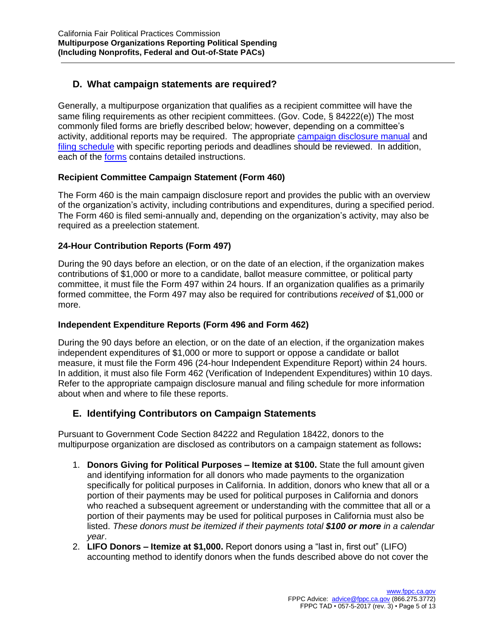# **D. What campaign statements are required?**

Generally, a multipurpose organization that qualifies as a recipient committee will have the same filing requirements as other recipient committees. (Gov. Code, § 84222(e)) The most commonly filed forms are briefly described below; however, depending on a committee's activity, additional reports may be required. The appropriate [campaign disclosure manual](http://www.fppc.ca.gov/learn/campaign-rules/campaign-disclosure-manuals.html) and [filing schedule](http://www.fppc.ca.gov/learn/campaign-rules/where-and-when-to-file-campaign-statements/when-to-file-campaign-statements-state-local-filing-schedules.html) with specific reporting periods and deadlines should be reviewed. In addition, each of the [forms](http://www.fppc.ca.gov/learn/campaign-rules/campaign-forms.html) contains detailed instructions.

### **Recipient Committee Campaign Statement (Form 460)**

The Form 460 is the main campaign disclosure report and provides the public with an overview of the organization's activity, including contributions and expenditures, during a specified period. The Form 460 is filed semi-annually and, depending on the organization's activity, may also be required as a preelection statement.

### **24-Hour Contribution Reports (Form 497)**

During the 90 days before an election, or on the date of an election, if the organization makes contributions of \$1,000 or more to a candidate, ballot measure committee, or political party committee, it must file the Form 497 within 24 hours. If an organization qualifies as a primarily formed committee, the Form 497 may also be required for contributions *received* of \$1,000 or more.

### **Independent Expenditure Reports (Form 496 and Form 462)**

During the 90 days before an election, or on the date of an election, if the organization makes independent expenditures of \$1,000 or more to support or oppose a candidate or ballot measure, it must file the Form 496 (24-hour Independent Expenditure Report) within 24 hours. In addition, it must also file Form 462 (Verification of Independent Expenditures) within 10 days. Refer to the appropriate campaign disclosure manual and filing schedule for more information about when and where to file these reports.

## **E. Identifying Contributors on Campaign Statements**

Pursuant to Government Code Section 84222 and Regulation 18422, donors to the multipurpose organization are disclosed as contributors on a campaign statement as follows**:**

- 1. **Donors Giving for Political Purposes – Itemize at \$100.** State the full amount given and identifying information for all donors who made payments to the organization specifically for political purposes in California. In addition, donors who knew that all or a portion of their payments may be used for political purposes in California and donors who reached a subsequent agreement or understanding with the committee that all or a portion of their payments may be used for political purposes in California must also be listed. *These donors must be itemized if their payments total \$100 or more in a calendar year*.
- 2. **LIFO Donors – Itemize at \$1,000.** Report donors using a "last in, first out" (LIFO) accounting method to identify donors when the funds described above do not cover the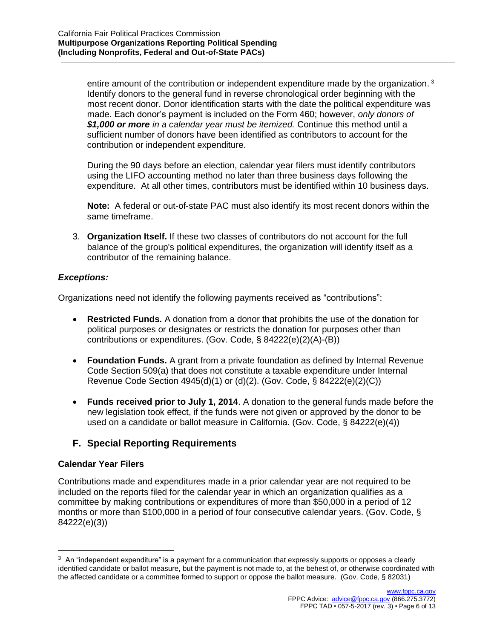entire amount of the contribution or independent expenditure made by the organization.<sup>3</sup> Identify donors to the general fund in reverse chronological order beginning with the most recent donor. Donor identification starts with the date the political expenditure was made. Each donor's payment is included on the Form 460; however, *only donors of \$1,000 or more in a calendar year must be itemized.* Continue this method until a sufficient number of donors have been identified as contributors to account for the contribution or independent expenditure.

During the 90 days before an election, calendar year filers must identify contributors using the LIFO accounting method no later than three business days following the expenditure. At all other times, contributors must be identified within 10 business days.

**Note:** A federal or out-of-state PAC must also identify its most recent donors within the same timeframe.

3. **Organization Itself.** If these two classes of contributors do not account for the full balance of the group's political expenditures, the organization will identify itself as a contributor of the remaining balance.

#### *Exceptions:*

Organizations need not identify the following payments received as "contributions":

- **Restricted Funds.** A donation from a donor that prohibits the use of the donation for political purposes or designates or restricts the donation for purposes other than contributions or expenditures. (Gov. Code, § 84222(e)(2)(A)-(B))
- **Foundation Funds.** A grant from a private foundation as defined by Internal Revenue Code Section 509(a) that does not constitute a taxable expenditure under Internal Revenue Code Section 4945(d)(1) or (d)(2). (Gov. Code, § 84222(e)(2)(C))
- **Funds received prior to July 1, 2014**. A donation to the general funds made before the new legislation took effect, if the funds were not given or approved by the donor to be used on a candidate or ballot measure in California. (Gov. Code, § 84222(e)(4))

## **F. Special Reporting Requirements**

#### **Calendar Year Filers**

 $\overline{\phantom{a}}$ 

Contributions made and expenditures made in a prior calendar year are not required to be included on the reports filed for the calendar year in which an organization qualifies as a committee by making contributions or expenditures of more than \$50,000 in a period of 12 months or more than \$100,000 in a period of four consecutive calendar years. (Gov. Code, § 84222(e)(3))

 $3$  An "independent expenditure" is a payment for a communication that expressly supports or opposes a clearly identified candidate or ballot measure, but the payment is not made to, at the behest of, or otherwise coordinated with the affected candidate or a committee formed to support or oppose the ballot measure. (Gov. Code, § 82031)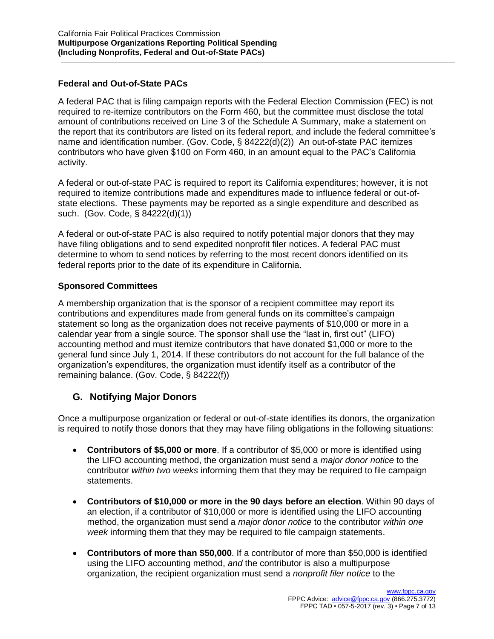### **Federal and Out-of-State PACs**

A federal PAC that is filing campaign reports with the Federal Election Commission (FEC) is not required to re-itemize contributors on the Form 460, but the committee must disclose the total amount of contributions received on Line 3 of the Schedule A Summary, make a statement on the report that its contributors are listed on its federal report, and include the federal committee's name and identification number. (Gov. Code, § 84222(d)(2)) An out-of-state PAC itemizes contributors who have given \$100 on Form 460, in an amount equal to the PAC's California activity.

A federal or out-of-state PAC is required to report its California expenditures; however, it is not required to itemize contributions made and expenditures made to influence federal or out-ofstate elections. These payments may be reported as a single expenditure and described as such. (Gov. Code, § 84222(d)(1))

A federal or out-of-state PAC is also required to notify potential major donors that they may have filing obligations and to send expedited nonprofit filer notices. A federal PAC must determine to whom to send notices by referring to the most recent donors identified on its federal reports prior to the date of its expenditure in California.

### **Sponsored Committees**

A membership organization that is the sponsor of a recipient committee may report its contributions and expenditures made from general funds on its committee's campaign statement so long as the organization does not receive payments of \$10,000 or more in a calendar year from a single source. The sponsor shall use the "last in, first out" (LIFO) accounting method and must itemize contributors that have donated \$1,000 or more to the general fund since July 1, 2014. If these contributors do not account for the full balance of the organization's expenditures, the organization must identify itself as a contributor of the remaining balance. (Gov. Code, § 84222(f))

# **G. Notifying Major Donors**

Once a multipurpose organization or federal or out-of-state identifies its donors, the organization is required to notify those donors that they may have filing obligations in the following situations:

- **Contributors of \$5,000 or more**. If a contributor of \$5,000 or more is identified using the LIFO accounting method, the organization must send a *major donor notice* to the contributor *within two weeks* informing them that they may be required to file campaign statements.
- **Contributors of \$10,000 or more in the 90 days before an election**. Within 90 days of an election, if a contributor of \$10,000 or more is identified using the LIFO accounting method, the organization must send a *major donor notice* to the contributor *within one week* informing them that they may be required to file campaign statements.
- **Contributors of more than \$50,000**. If a contributor of more than \$50,000 is identified using the LIFO accounting method, *and* the contributor is also a multipurpose organization, the recipient organization must send a *nonprofit filer notice* to the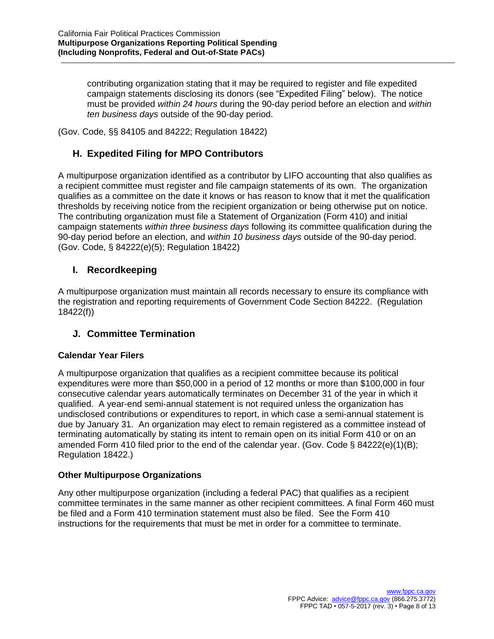contributing organization stating that it may be required to register and file expedited campaign statements disclosing its donors (see "Expedited Filing" below). The notice must be provided *within 24 hours* during the 90-day period before an election and *within ten business days* outside of the 90-day period.

(Gov. Code, §§ 84105 and 84222; Regulation 18422)

# **H. Expedited Filing for MPO Contributors**

A multipurpose organization identified as a contributor by LIFO accounting that also qualifies as a recipient committee must register and file campaign statements of its own. The organization qualifies as a committee on the date it knows or has reason to know that it met the qualification thresholds by receiving notice from the recipient organization or being otherwise put on notice. The contributing organization must file a Statement of Organization (Form 410) and initial campaign statements *within three business days* following its committee qualification during the 90-day period before an election, and *within 10 business days* outside of the 90-day period. (Gov. Code, § 84222(e)(5); Regulation 18422)

# **I. Recordkeeping**

A multipurpose organization must maintain all records necessary to ensure its compliance with the registration and reporting requirements of Government Code Section 84222. (Regulation 18422(f))

## **J. Committee Termination**

#### **Calendar Year Filers**

A multipurpose organization that qualifies as a recipient committee because its political expenditures were more than \$50,000 in a period of 12 months or more than \$100,000 in four consecutive calendar years automatically terminates on December 31 of the year in which it qualified. A year-end semi-annual statement is not required unless the organization has undisclosed contributions or expenditures to report, in which case a semi-annual statement is due by January 31. An organization may elect to remain registered as a committee instead of terminating automatically by stating its intent to remain open on its initial Form 410 or on an amended Form 410 filed prior to the end of the calendar year. (Gov. Code § 84222(e)(1)(B); Regulation 18422.)

#### **Other Multipurpose Organizations**

Any other multipurpose organization (including a federal PAC) that qualifies as a recipient committee terminates in the same manner as other recipient committees. A final Form 460 must be filed and a Form 410 termination statement must also be filed. See the Form 410 instructions for the requirements that must be met in order for a committee to terminate.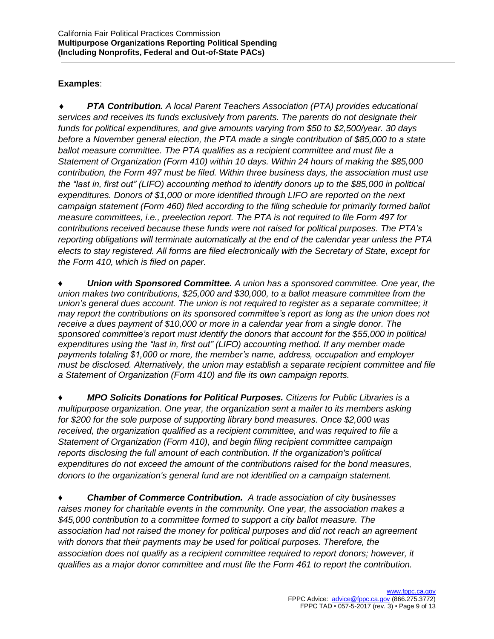## **Examples**:

 *PTA Contribution. A local Parent Teachers Association (PTA) provides educational services and receives its funds exclusively from parents. The parents do not designate their funds for political expenditures, and give amounts varying from \$50 to \$2,500/year. 30 days before a November general election, the PTA made a single contribution of \$85,000 to a state ballot measure committee. The PTA qualifies as a recipient committee and must file a Statement of Organization (Form 410) within 10 days. Within 24 hours of making the \$85,000 contribution, the Form 497 must be filed. Within three business days, the association must use the "last in, first out" (LIFO) accounting method to identify donors up to the \$85,000 in political expenditures. Donors of \$1,000 or more identified through LIFO are reported on the next campaign statement (Form 460) filed according to the filing schedule for primarily formed ballot measure committees, i.e., preelection report. The PTA is not required to file Form 497 for contributions received because these funds were not raised for political purposes. The PTA's reporting obligations will terminate automatically at the end of the calendar year unless the PTA elects to stay registered. All forms are filed electronically with the Secretary of State, except for the Form 410, which is filed on paper.*

*Union with Sponsored Committee. A union has a sponsored committee. One year, the union makes two contributions, \$25,000 and \$30,000, to a ballot measure committee from the union's general dues account. The union is not required to register as a separate committee; it may report the contributions on its sponsored committee's report as long as the union does not receive a dues payment of \$10,000 or more in a calendar year from a single donor. The sponsored committee's report must identify the donors that account for the \$55,000 in political expenditures using the "last in, first out" (LIFO) accounting method. If any member made payments totaling \$1,000 or more, the member's name, address, occupation and employer must be disclosed. Alternatively, the union may establish a separate recipient committee and file a Statement of Organization (Form 410) and file its own campaign reports.* 

*♦ MPO Solicits Donations for Political Purposes. Citizens for Public Libraries is a multipurpose organization. One year, the organization sent a mailer to its members asking for \$200 for the sole purpose of supporting library bond measures. Once \$2,000 was received, the organization qualified as a recipient committee, and was required to file a Statement of Organization (Form 410), and begin filing recipient committee campaign reports disclosing the full amount of each contribution. If the organization's political expenditures do not exceed the amount of the contributions raised for the bond measures, donors to the organization's general fund are not identified on a campaign statement.* 

*♦ Chamber of Commerce Contribution. A trade association of city businesses raises money for charitable events in the community. One year, the association makes a \$45,000 contribution to a committee formed to support a city ballot measure. The association had not raised the money for political purposes and did not reach an agreement with donors that their payments may be used for political purposes. Therefore, the association does not qualify as a recipient committee required to report donors; however, it qualifies as a major donor committee and must file the Form 461 to report the contribution.*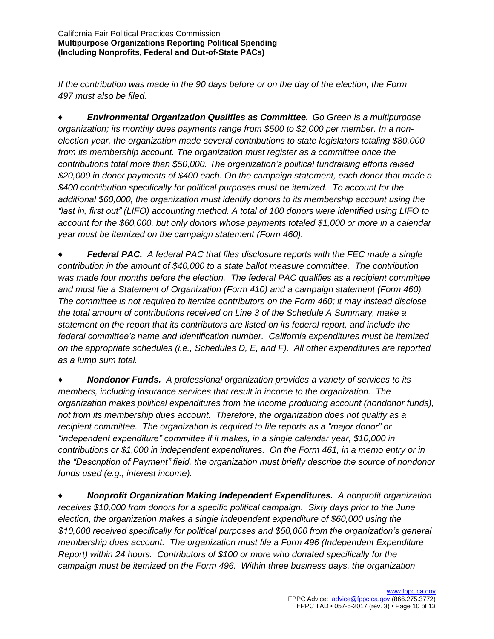*If the contribution was made in the 90 days before or on the day of the election, the Form 497 must also be filed.* 

♦ *Environmental Organization Qualifies as Committee.**Go Green is a multipurpose organization; its monthly dues payments range from \$500 to \$2,000 per member. In a nonelection year, the organization made several contributions to state legislators totaling \$80,000 from its membership account. The organization must register as a committee once the contributions total more than \$50,000. The organization's political fundraising efforts raised \$20,000 in donor payments of \$400 each. On the campaign statement, each donor that made a \$400 contribution specifically for political purposes must be itemized. To account for the additional \$60,000, the organization must identify donors to its membership account using the "last in, first out" (LIFO) accounting method. A total of 100 donors were identified using LIFO to account for the \$60,000, but only donors whose payments totaled \$1,000 or more in a calendar year must be itemized on the campaign statement (Form 460).* 

*♦ Federal PAC. A federal PAC that files disclosure reports with the FEC made a single contribution in the amount of \$40,000 to a state ballot measure committee. The contribution was made four months before the election. The federal PAC qualifies as a recipient committee and must file a Statement of Organization (Form 410) and a campaign statement (Form 460). The committee is not required to itemize contributors on the Form 460; it may instead disclose the total amount of contributions received on Line 3 of the Schedule A Summary, make a statement on the report that its contributors are listed on its federal report, and include the federal committee's name and identification number. California expenditures must be itemized on the appropriate schedules (i.e., Schedules D, E, and F). All other expenditures are reported as a lump sum total.*

*♦ Nondonor Funds. A professional organization provides a variety of services to its members, including insurance services that result in income to the organization. The organization makes political expenditures from the income producing account (nondonor funds), not from its membership dues account. Therefore, the organization does not qualify as a recipient committee. The organization is required to file reports as a "major donor" or "independent expenditure" committee if it makes, in a single calendar year, \$10,000 in contributions or \$1,000 in independent expenditures. On the Form 461, in a memo entry or in the "Description of Payment" field, the organization must briefly describe the source of nondonor funds used (e.g., interest income).* 

*♦ Nonprofit Organization Making Independent Expenditures. A nonprofit organization receives \$10,000 from donors for a specific political campaign. Sixty days prior to the June election, the organization makes a single independent expenditure of \$60,000 using the \$10,000 received specifically for political purposes and \$50,000 from the organization's general membership dues account. The organization must file a Form 496 (Independent Expenditure Report) within 24 hours. Contributors of \$100 or more who donated specifically for the campaign must be itemized on the Form 496. Within three business days, the organization*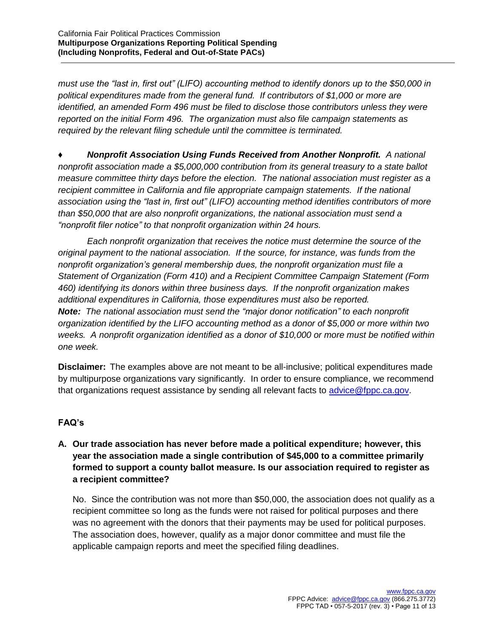*must use the "last in, first out" (LIFO) accounting method to identify donors up to the \$50,000 in political expenditures made from the general fund. If contributors of \$1,000 or more are identified, an amended Form 496 must be filed to disclose those contributors unless they were reported on the initial Form 496. The organization must also file campaign statements as required by the relevant filing schedule until the committee is terminated.* 

*♦ Nonprofit Association Using Funds Received from Another Nonprofit. A national nonprofit association made a \$5,000,000 contribution from its general treasury to a state ballot measure committee thirty days before the election. The national association must register as a recipient committee in California and file appropriate campaign statements. If the national association using the "last in, first out" (LIFO) accounting method identifies contributors of more than \$50,000 that are also nonprofit organizations, the national association must send a "nonprofit filer notice" to that nonprofit organization within 24 hours.*

*Each nonprofit organization that receives the notice must determine the source of the original payment to the national association. If the source, for instance, was funds from the nonprofit organization's general membership dues, the nonprofit organization must file a Statement of Organization (Form 410) and a Recipient Committee Campaign Statement (Form 460) identifying its donors within three business days. If the nonprofit organization makes additional expenditures in California, those expenditures must also be reported. Note: The national association must send the "major donor notification" to each nonprofit organization identified by the LIFO accounting method as a donor of \$5,000 or more within two weeks. A nonprofit organization identified as a donor of \$10,000 or more must be notified within one week.* 

**Disclaimer:** The examples above are not meant to be all-inclusive; political expenditures made by multipurpose organizations vary significantly. In order to ensure compliance, we recommend that organizations request assistance by sending all relevant facts to [advice@fppc.ca.gov.](mailto:advice@fppc.ca.gov)

## **FAQ's**

**A. Our trade association has never before made a political expenditure; however, this year the association made a single contribution of \$45,000 to a committee primarily formed to support a county ballot measure. Is our association required to register as a recipient committee?**

No. Since the contribution was not more than \$50,000, the association does not qualify as a recipient committee so long as the funds were not raised for political purposes and there was no agreement with the donors that their payments may be used for political purposes. The association does, however, qualify as a major donor committee and must file the applicable campaign reports and meet the specified filing deadlines.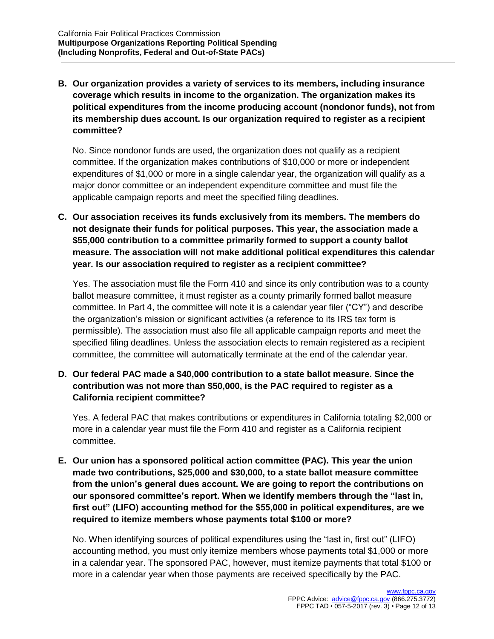**B. Our organization provides a variety of services to its members, including insurance coverage which results in income to the organization. The organization makes its political expenditures from the income producing account (nondonor funds), not from its membership dues account. Is our organization required to register as a recipient committee?**

No. Since nondonor funds are used, the organization does not qualify as a recipient committee. If the organization makes contributions of \$10,000 or more or independent expenditures of \$1,000 or more in a single calendar year, the organization will qualify as a major donor committee or an independent expenditure committee and must file the applicable campaign reports and meet the specified filing deadlines.

**C. Our association receives its funds exclusively from its members. The members do not designate their funds for political purposes. This year, the association made a \$55,000 contribution to a committee primarily formed to support a county ballot measure. The association will not make additional political expenditures this calendar year. Is our association required to register as a recipient committee?**

Yes. The association must file the Form 410 and since its only contribution was to a county ballot measure committee, it must register as a county primarily formed ballot measure committee. In Part 4, the committee will note it is a calendar year filer ("CY") and describe the organization's mission or significant activities (a reference to its IRS tax form is permissible). The association must also file all applicable campaign reports and meet the specified filing deadlines. Unless the association elects to remain registered as a recipient committee, the committee will automatically terminate at the end of the calendar year.

**D. Our federal PAC made a \$40,000 contribution to a state ballot measure. Since the contribution was not more than \$50,000, is the PAC required to register as a California recipient committee?**

Yes. A federal PAC that makes contributions or expenditures in California totaling \$2,000 or more in a calendar year must file the Form 410 and register as a California recipient committee.

**E. Our union has a sponsored political action committee (PAC). This year the union made two contributions, \$25,000 and \$30,000, to a state ballot measure committee from the union's general dues account. We are going to report the contributions on our sponsored committee's report. When we identify members through the "last in, first out" (LIFO) accounting method for the \$55,000 in political expenditures, are we required to itemize members whose payments total \$100 or more?**

No. When identifying sources of political expenditures using the "last in, first out" (LIFO) accounting method, you must only itemize members whose payments total \$1,000 or more in a calendar year. The sponsored PAC, however, must itemize payments that total \$100 or more in a calendar year when those payments are received specifically by the PAC.